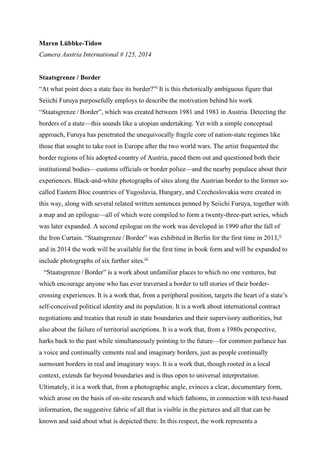## Maren Lübbke-Tidow

Camera Austria International # 125, 2014

## Staatsgrenze / Border

"At what point does a state face its border?" It is this rhetorically ambiguous figure that Seiichi Furuya purposefully employs to describe the motivation behind his work "Staatsgrenze / Border", which was created between 1981 and 1983 in Austria. Detecting the borders of a state—this sounds like a utopian undertaking. Yet with a simple conceptual approach, Furuya has penetrated the unequivocally fragile core of nation-state regimes like those that sought to take root in Europe after the two world wars. The artist frequented the border regions of his adopted country of Austria, paced them out and questioned both their institutional bodies—customs officials or border police—and the nearby populace about their experiences. Black-and-white photographs of sites along the Austrian border to the former socalled Eastern Bloc countries of Yugoslavia, Hungary, and Czechoslovakia were created in this way, along with several related written sentences penned by Seiichi Furuya, together with a map and an epilogue—all of which were compiled to form a twenty-three-part series, which was later expanded. A second epilogue on the work was developed in 1990 after the fall of the Iron Curtain. "Staatsgrenze / Border" was exhibited in Berlin for the first time in 2013,<sup>ii</sup> and in 2014 the work will be available for the first time in book form and will be expanded to include photographs of six further sites.iii

"Staatsgrenze / Border" is a work about unfamiliar places to which no one ventures, but which encourage anyone who has ever traversed a border to tell stories of their bordercrossing experiences. It is a work that, from a peripheral position, targets the heart of a state's self-conceived political identity and its population. It is a work about international contract negotiations and treaties that result in state boundaries and their supervisory authorities, but also about the failure of territorial ascriptions. It is a work that, from a 1980s perspective, harks back to the past while simultaneously pointing to the future—for common parlance has a voice and continually cements real and imaginary borders, just as people continually surmount borders in real and imaginary ways. It is a work that, though rooted in a local context, extends far beyond boundaries and is thus open to universal interpretation. Ultimately, it is a work that, from a photographic angle, evinces a clear, documentary form, which arose on the basis of on-site research and which fathoms, in connection with text-based information, the suggestive fabric of all that is visible in the pictures and all that can be known and said about what is depicted there. In this respect, the work represents a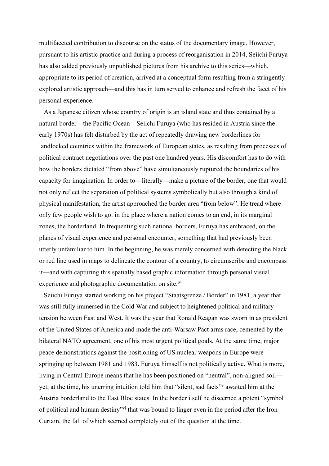multifaceted contribution to discourse on the status of the documentary image. However, pursuant to his artistic practice and during a process of reorganisation in 2014, Seiichi Furuya has also added previously unpublished pictures from his archive to this series—which, appropriate to its period of creation, arrived at a conceptual form resulting from a stringently explored artistic approach—and this has in turn served to enhance and refresh the facet of his personal experience.

As a Japanese citizen whose country of origin is an island state and thus contained by a natural border—the Pacific Ocean—Seiichi Furuya (who has resided in Austria since the early 1970s) has felt disturbed by the act of repeatedly drawing new borderlines for landlocked countries within the framework of European states, as resulting from processes of political contract negotiations over the past one hundred years. His discomfort has to do with how the borders dictated "from above" have simultaneously ruptured the boundaries of his capacity for imagination. In order to—literally—make a picture of the border, one that would not only reflect the separation of political systems symbolically but also through a kind of physical manifestation, the artist approached the border area "from below". He tread where only few people wish to go: in the place where a nation comes to an end, in its marginal zones, the borderland. In frequenting such national borders, Furuya has embraced, on the planes of visual experience and personal encounter, something that had previously been utterly unfamiliar to him. In the beginning, he was merely concerned with detecting the black or red line used in maps to delineate the contour of a country, to circumscribe and encompass it—and with capturing this spatially based graphic information through personal visual experience and photographic documentation on site.<sup>iv</sup>

Seiichi Furuya started working on his project "Staatsgrenze / Border" in 1981, a year that was still fully immersed in the Cold War and subject to heightened political and military tension between East and West. It was the year that Ronald Reagan was sworn in as president of the United States of America and made the anti-Warsaw Pact arms race, cemented by the bilateral NATO agreement, one of his most urgent political goals. At the same time, major peace demonstrations against the positioning of US nuclear weapons in Europe were springing up between 1981 and 1983. Furuya himself is not politically active. What is more, living in Central Europe means that he has been positioned on "neutral", non-aligned soil yet, at the time, his unerring intuition told him that "silent, sad facts"<sup>v</sup> awaited him at the Austria borderland to the East Bloc states. In the border itself he discerned a potent "symbol of political and human destiny"vi that was bound to linger even in the period after the Iron Curtain, the fall of which seemed completely out of the question at the time.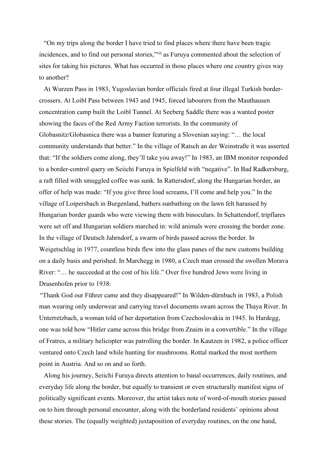"On my trips along the border I have tried to find places where there have been tragic incidences, and to find out personal stories,"vii as Furuya commented about the selection of sites for taking his pictures. What has occurred in those places where one country gives way to another?

At Wurzen Pass in 1983, Yugoslavian border officials fired at four illegal Turkish bordercrossers. At Loibl Pass between 1943 and 1945, forced labourers from the Mauthausen concentration camp built the Loibl Tunnel. At Seeberg Saddle there was a wanted poster showing the faces of the Red Army Faction terrorists. In the community of Globasnitz/Globasnica there was a banner featuring a Slovenian saying: "… the local community understands that better." In the village of Ratsch an der Weinstraße it was asserted that: "If the soldiers come along, they'll take you away!" In 1983, an IBM monitor responded to a border-control query on Seiichi Furuya in Spielfeld with "negative". In Bad Radkersburg, a raft filled with smuggled coffee was sunk. In Rattersdorf, along the Hungarian border, an offer of help was made: "If you give three loud screams, I'll come and help you." In the village of Loipersbach in Burgenland, bathers sunbathing on the lawn felt harassed by Hungarian border guards who were viewing them with binoculars. In Schattendorf, tripflares were set off and Hungarian soldiers marched in: wild animals were crossing the border zone. In the village of Deutsch Jahrndorf, a swarm of birds passed across the border. In Weigetschlag in 1977, countless birds flew into the glass panes of the new customs building on a daily basis and perished. In Marchegg in 1980, a Czech man crossed the swollen Morava River: "… he succeeded at the cost of his life." Over five hundred Jews were living in Drasenhofen prior to 1938:

 "Thank God our Führer came and they disappeared!" In Wilden-dürnbach in 1983, a Polish man wearing only underwear and carrying travel documents swam across the Thaya River. In Unterretzbach, a woman told of her deportation from Czechoslovakia in 1945. In Hardegg, one was told how "Hitler came across this bridge from Znaim in a convertible." In the village of Fratres, a military helicopter was patrolling the border. In Kautzen in 1982, a police officer ventured onto Czech land while hunting for mushrooms. Rottal marked the most northern point in Austria. And so on and so forth.

Along his journey, Seiichi Furuya directs attention to banal occurrences, daily routines, and everyday life along the border, but equally to transient or even structurally manifest signs of politically significant events. Moreover, the artist takes note of word-of-mouth stories passed on to him through personal encounter, along with the borderland residents' opinions about these stories. The (equally weighted) juxtaposition of everyday routines, on the one hand,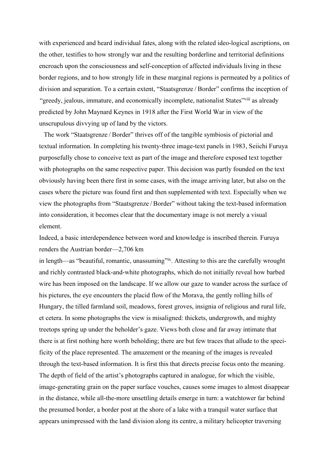with experienced and heard individual fates, along with the related ideo-logical ascriptions, on the other, testifies to how strongly war and the resulting borderline and territorial definitions encroach upon the consciousness and self-conception of affected individuals living in these border regions, and to how strongly life in these marginal regions is permeated by a politics of division and separation. To a certain extent, "Staatsgrenze / Border" confirms the inception of "greedy, jealous, immature, and economically incomplete, nationalist States"viii as already predicted by John Maynard Keynes in 1918 after the First World War in view of the unscrupulous divvying up of land by the victors.

The work "Staatsgrenze / Border" thrives off of the tangible symbiosis of pictorial and textual information. In completing his twenty-three image-text panels in 1983, Seiichi Furuya purposefully chose to conceive text as part of the image and therefore exposed text together with photographs on the same respective paper. This decision was partly founded on the text obviously having been there first in some cases, with the image arriving later, but also on the cases where the picture was found first and then supplemented with text. Especially when we view the photographs from "Staatsgrenze / Border" without taking the text-based information into consideration, it becomes clear that the documentary image is not merely a visual element.

Indeed, a basic interdependence between word and knowledge is inscribed therein. Furuya renders the Austrian border—2,706 km

in length—as "beautiful, romantic, unassuming"ix. Attesting to this are the carefully wrought and richly contrasted black-and-white photographs, which do not initially reveal how barbed wire has been imposed on the landscape. If we allow our gaze to wander across the surface of his pictures, the eye encounters the placid flow of the Morava, the gently rolling hills of Hungary, the tilled farmland soil, meadows, forest groves, insignia of religious and rural life, et cetera. In some photographs the view is misaligned: thickets, undergrowth, and mighty treetops spring up under the beholder's gaze. Views both close and far away intimate that there is at first nothing here worth beholding; there are but few traces that allude to the specificity of the place represented. The amazement or the meaning of the images is revealed through the text-based information. It is first this that directs precise focus onto the meaning. The depth of field of the artist's photographs captured in analogue, for which the visible, image-generating grain on the paper surface vouches, causes some images to almost disappear in the distance, while all-the-more unsettling details emerge in turn: a watchtower far behind the presumed border, a border post at the shore of a lake with a tranquil water surface that appears unimpressed with the land division along its centre, a military helicopter traversing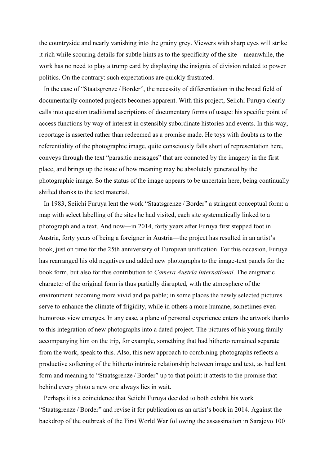the countryside and nearly vanishing into the grainy grey. Viewers with sharp eyes will strike it rich while scouring details for subtle hints as to the specificity of the site—meanwhile, the work has no need to play a trump card by displaying the insignia of division related to power politics. On the contrary: such expectations are quickly frustrated.

In the case of "Staatsgrenze / Border", the necessity of differentiation in the broad field of documentarily connoted projects becomes apparent. With this project, Seiichi Furuya clearly calls into question traditional ascriptions of documentary forms of usage: his specific point of access functions by way of interest in ostensibly subordinate histories and events. In this way, reportage is asserted rather than redeemed as a promise made. He toys with doubts as to the referentiality of the photographic image, quite consciously falls short of representation here, conveys through the text "parasitic messages" that are connoted by the imagery in the first place, and brings up the issue of how meaning may be absolutely generated by the photographic image. So the status of the image appears to be uncertain here, being continually shifted thanks to the text material.

In 1983, Seiichi Furuya lent the work "Staatsgrenze / Border" a stringent conceptual form: a map with select labelling of the sites he had visited, each site systematically linked to a photograph and a text. And now—in 2014, forty years after Furuya first stepped foot in Austria, forty years of being a foreigner in Austria—the project has resulted in an artist's book, just on time for the 25th anniversary of European unification. For this occasion, Furuya has rearranged his old negatives and added new photographs to the image-text panels for the book form, but also for this contribution to Camera Austria International. The enigmatic character of the original form is thus partially disrupted, with the atmosphere of the environment becoming more vivid and palpable; in some places the newly selected pictures serve to enhance the climate of frigidity, while in others a more humane, sometimes even humorous view emerges. In any case, a plane of personal experience enters the artwork thanks to this integration of new photographs into a dated project. The pictures of his young family accompanying him on the trip, for example, something that had hitherto remained separate from the work, speak to this. Also, this new approach to combining photographs reflects a productive softening of the hitherto intrinsic relationship between image and text, as had lent form and meaning to "Staatsgrenze / Border" up to that point: it attests to the promise that behind every photo a new one always lies in wait.

Perhaps it is a coincidence that Seiichi Furuya decided to both exhibit his work "Staatsgrenze / Border" and revise it for publication as an artist's book in 2014. Against the backdrop of the outbreak of the First World War following the assassination in Sarajevo 100